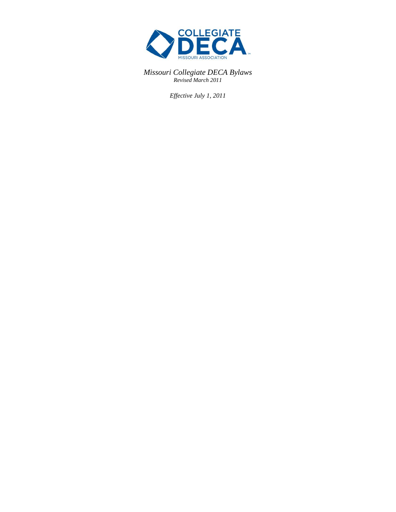

*Missouri Collegiate DECA Bylaws Revised March 2011*

*Effective July 1, 2011*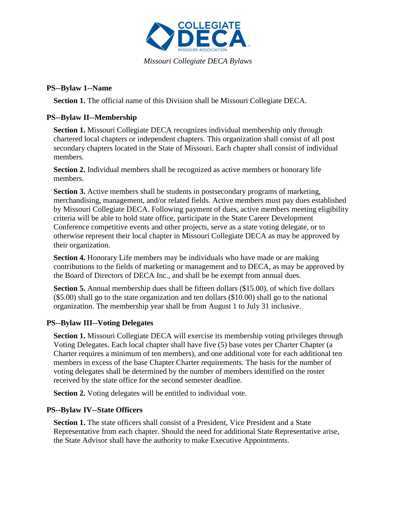

#### **PS--Bylaw 1--Name**

**Section 1.** The official name of this Division shall be Missouri Collegiate DECA.

#### **PS--Bylaw II--Membership**

**Section 1.** Missouri Collegiate DECA recognizes individual membership only through chartered local chapters or independent chapters. This organization shall consist of all post secondary chapters located in the State of Missouri. Each chapter shall consist of individual members.

**Section 2.** Individual members shall be recognized as active members or honorary life members.

**Section 3.** Active members shall be students in postsecondary programs of marketing, merchandising, management, and/or related fields. Active members must pay dues established by Missouri Collegiate DECA. Following payment of dues, active members meeting eligibility criteria will be able to hold state office, participate in the State Career Development Conference competitive events and other projects, serve as a state voting delegate, or to otherwise represent their local chapter in Missouri Collegiate DECA as may be approved by their organization.

**Section 4.** Honorary Life members may be individuals who have made or are making contributions to the fields of marketing or management and to DECA, as may be approved by the Board of Directors of DECA Inc., and shall be be exempt from annual dues.

**Section 5.** Annual membership dues shall be fifteen dollars (\$15.00), of which five dollars (\$5.00) shall go to the state organization and ten dollars (\$10.00) shall go to the national organization. The membership year shall be from August 1 to July 31 inclusive.

# **PS--Bylaw III--Voting Delegates**

**Section 1.** Missouri Collegiate DECA will exercise its membership voting privileges through Voting Delegates. Each local chapter shall have five (5) base votes per Charter Chapter (a Charter requires a minimum of ten members), and one additional vote for each additional ten members in excess of the base Chapter Charter requirements. The basis for the number of voting delegates shall be determined by the number of members identified on the roster received by the state office for the second semester deadline.

**Section 2.** Voting delegates will be entitled to individual vote.

# **PS--Bylaw IV--State Officers**

**Section 1.** The state officers shall consist of a President, Vice President and a State Representative from each chapter. Should the need for additional State Representative arise, the State Advisor shall have the authority to make Executive Appointments.